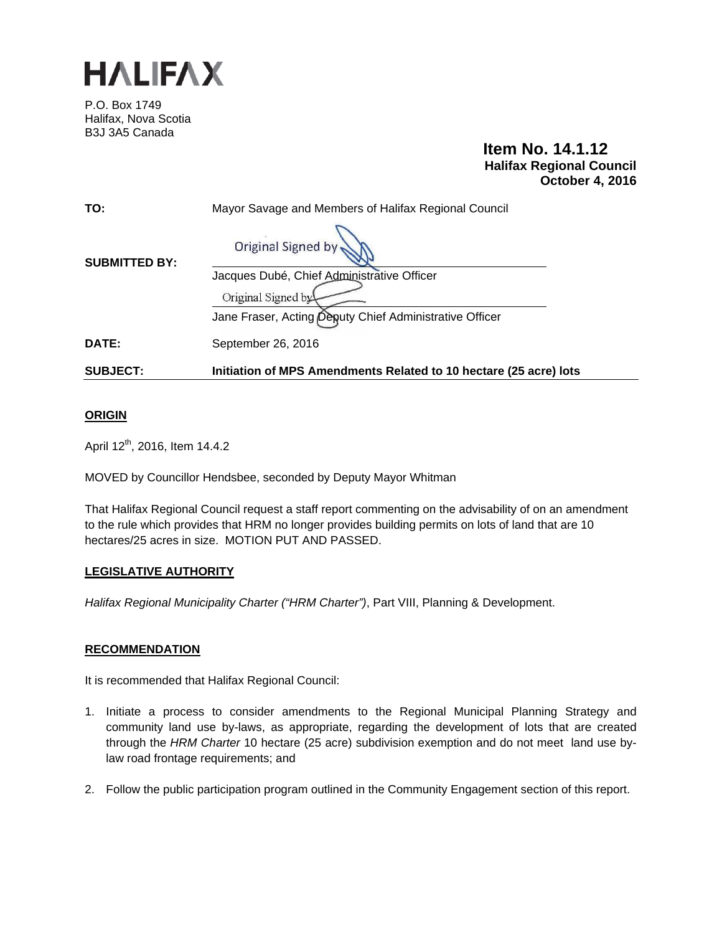

P.O. Box 1749 Halifax, Nova Scotia B3J 3A5 Canada

# **Item No. 14.1.12 Halifax Regional Council October 4, 2016**

| TO:                  | Mayor Savage and Members of Halifax Regional Council              |
|----------------------|-------------------------------------------------------------------|
| <b>SUBMITTED BY:</b> | Original Signed by                                                |
|                      | Jacques Dubé, Chief Administrative Officer                        |
|                      | Original Signed by                                                |
|                      | Jane Fraser, Acting Deputy Chief Administrative Officer           |
| DATE:                | September 26, 2016                                                |
| <b>SUBJECT:</b>      | Initiation of MPS Amendments Related to 10 hectare (25 acre) lots |

# **ORIGIN**

April 12<sup>th</sup>, 2016, Item 14.4.2

MOVED by Councillor Hendsbee, seconded by Deputy Mayor Whitman

That Halifax Regional Council request a staff report commenting on the advisability of on an amendment to the rule which provides that HRM no longer provides building permits on lots of land that are 10 hectares/25 acres in size. MOTION PUT AND PASSED.

## **LEGISLATIVE AUTHORITY**

*Halifax Regional Municipality Charter ("HRM Charter")*, Part VIII, Planning & Development.

#### **RECOMMENDATION**

It is recommended that Halifax Regional Council:

- 1. Initiate a process to consider amendments to the Regional Municipal Planning Strategy and community land use by-laws, as appropriate, regarding the development of lots that are created through the *HRM Charter* 10 hectare (25 acre) subdivision exemption and do not meet land use bylaw road frontage requirements; and
- 2. Follow the public participation program outlined in the Community Engagement section of this report.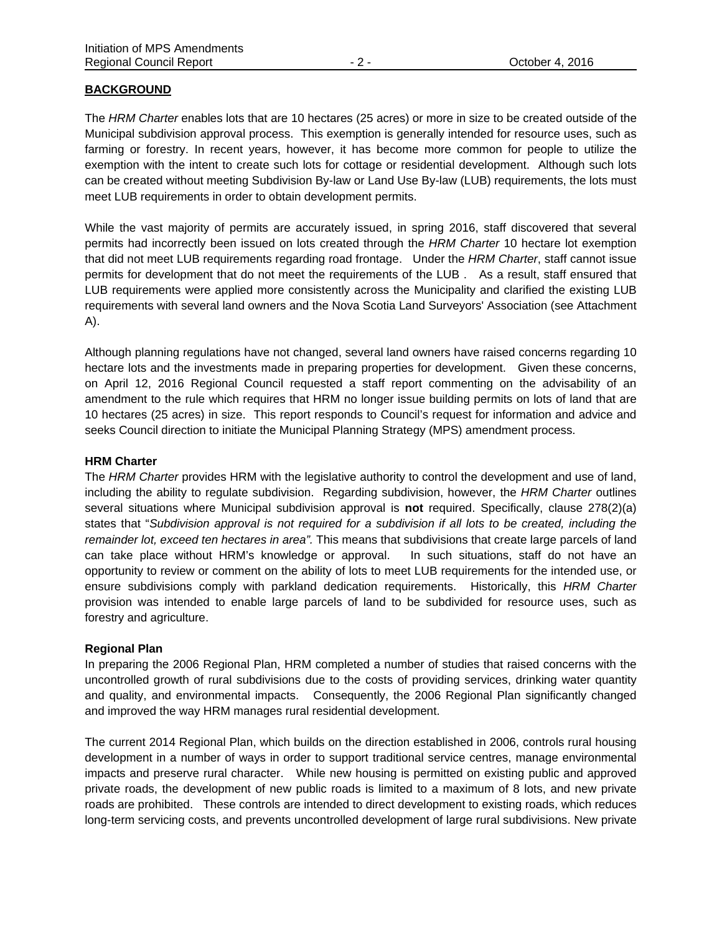### **BACKGROUND**

The *HRM Charter* enables lots that are 10 hectares (25 acres) or more in size to be created outside of the Municipal subdivision approval process. This exemption is generally intended for resource uses, such as farming or forestry. In recent years, however, it has become more common for people to utilize the exemption with the intent to create such lots for cottage or residential development. Although such lots can be created without meeting Subdivision By-law or Land Use By-law (LUB) requirements, the lots must meet LUB requirements in order to obtain development permits.

While the vast majority of permits are accurately issued, in spring 2016, staff discovered that several permits had incorrectly been issued on lots created through the *HRM Charter* 10 hectare lot exemption that did not meet LUB requirements regarding road frontage. Under the *HRM Charter*, staff cannot issue permits for development that do not meet the requirements of the LUB . As a result, staff ensured that LUB requirements were applied more consistently across the Municipality and clarified the existing LUB requirements with several land owners and the Nova Scotia Land Surveyors' Association (see Attachment A).

Although planning regulations have not changed, several land owners have raised concerns regarding 10 hectare lots and the investments made in preparing properties for development. Given these concerns, on April 12, 2016 Regional Council requested a staff report commenting on the advisability of an amendment to the rule which requires that HRM no longer issue building permits on lots of land that are 10 hectares (25 acres) in size. This report responds to Council's request for information and advice and seeks Council direction to initiate the Municipal Planning Strategy (MPS) amendment process.

#### **HRM Charter**

The *HRM Charter* provides HRM with the legislative authority to control the development and use of land, including the ability to regulate subdivision. Regarding subdivision, however, the *HRM Charter* outlines several situations where Municipal subdivision approval is **not** required. Specifically, clause 278(2)(a) states that "*Subdivision approval is not required for a subdivision if all lots to be created, including the remainder lot, exceed ten hectares in area".* This means that subdivisions that create large parcels of land can take place without HRM's knowledge or approval. In such situations, staff do not have an opportunity to review or comment on the ability of lots to meet LUB requirements for the intended use, or ensure subdivisions comply with parkland dedication requirements. Historically, this *HRM Charter* provision was intended to enable large parcels of land to be subdivided for resource uses, such as forestry and agriculture.

#### **Regional Plan**

In preparing the 2006 Regional Plan, HRM completed a number of studies that raised concerns with the uncontrolled growth of rural subdivisions due to the costs of providing services, drinking water quantity and quality, and environmental impacts. Consequently, the 2006 Regional Plan significantly changed and improved the way HRM manages rural residential development.

The current 2014 Regional Plan, which builds on the direction established in 2006, controls rural housing development in a number of ways in order to support traditional service centres, manage environmental impacts and preserve rural character. While new housing is permitted on existing public and approved private roads, the development of new public roads is limited to a maximum of 8 lots, and new private roads are prohibited. These controls are intended to direct development to existing roads, which reduces long-term servicing costs, and prevents uncontrolled development of large rural subdivisions. New private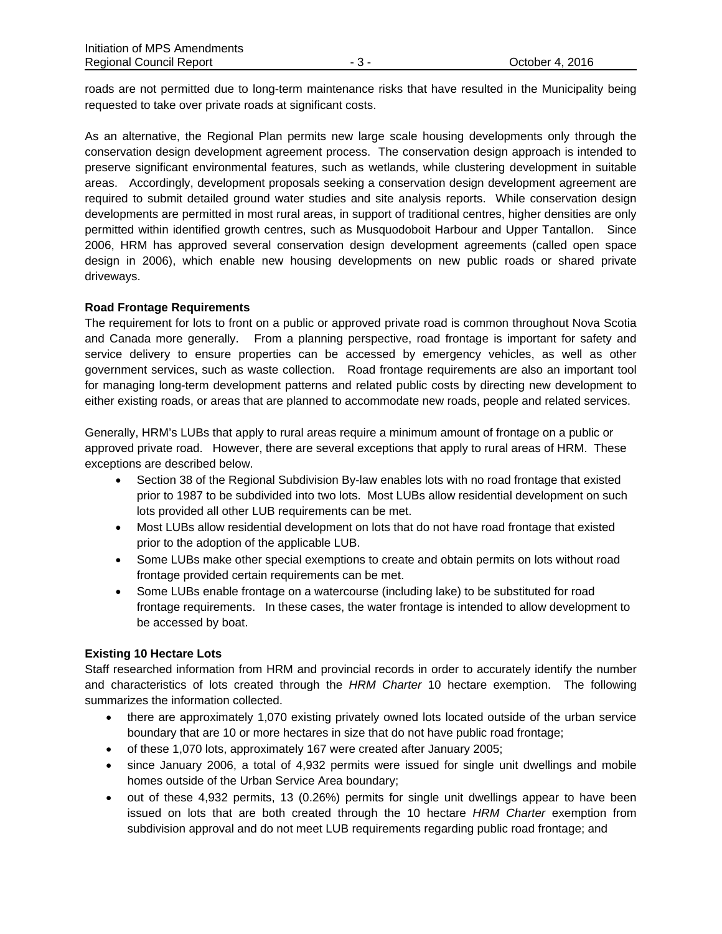roads are not permitted due to long-term maintenance risks that have resulted in the Municipality being requested to take over private roads at significant costs.

As an alternative, the Regional Plan permits new large scale housing developments only through the conservation design development agreement process. The conservation design approach is intended to preserve significant environmental features, such as wetlands, while clustering development in suitable areas. Accordingly, development proposals seeking a conservation design development agreement are required to submit detailed ground water studies and site analysis reports. While conservation design developments are permitted in most rural areas, in support of traditional centres, higher densities are only permitted within identified growth centres, such as Musquodoboit Harbour and Upper Tantallon. Since 2006, HRM has approved several conservation design development agreements (called open space design in 2006), which enable new housing developments on new public roads or shared private driveways.

## **Road Frontage Requirements**

The requirement for lots to front on a public or approved private road is common throughout Nova Scotia and Canada more generally. From a planning perspective, road frontage is important for safety and service delivery to ensure properties can be accessed by emergency vehicles, as well as other government services, such as waste collection. Road frontage requirements are also an important tool for managing long-term development patterns and related public costs by directing new development to either existing roads, or areas that are planned to accommodate new roads, people and related services.

Generally, HRM's LUBs that apply to rural areas require a minimum amount of frontage on a public or approved private road. However, there are several exceptions that apply to rural areas of HRM. These exceptions are described below.

- Section 38 of the Regional Subdivision By-law enables lots with no road frontage that existed prior to 1987 to be subdivided into two lots. Most LUBs allow residential development on such lots provided all other LUB requirements can be met.
- Most LUBs allow residential development on lots that do not have road frontage that existed prior to the adoption of the applicable LUB.
- Some LUBs make other special exemptions to create and obtain permits on lots without road frontage provided certain requirements can be met.
- Some LUBs enable frontage on a watercourse (including lake) to be substituted for road frontage requirements. In these cases, the water frontage is intended to allow development to be accessed by boat.

## **Existing 10 Hectare Lots**

Staff researched information from HRM and provincial records in order to accurately identify the number and characteristics of lots created through the *HRM Charter* 10 hectare exemption. The following summarizes the information collected.

- there are approximately 1,070 existing privately owned lots located outside of the urban service boundary that are 10 or more hectares in size that do not have public road frontage;
- of these 1,070 lots, approximately 167 were created after January 2005;
- since January 2006, a total of 4,932 permits were issued for single unit dwellings and mobile homes outside of the Urban Service Area boundary;
- out of these 4,932 permits, 13 (0.26%) permits for single unit dwellings appear to have been issued on lots that are both created through the 10 hectare *HRM Charter* exemption from subdivision approval and do not meet LUB requirements regarding public road frontage; and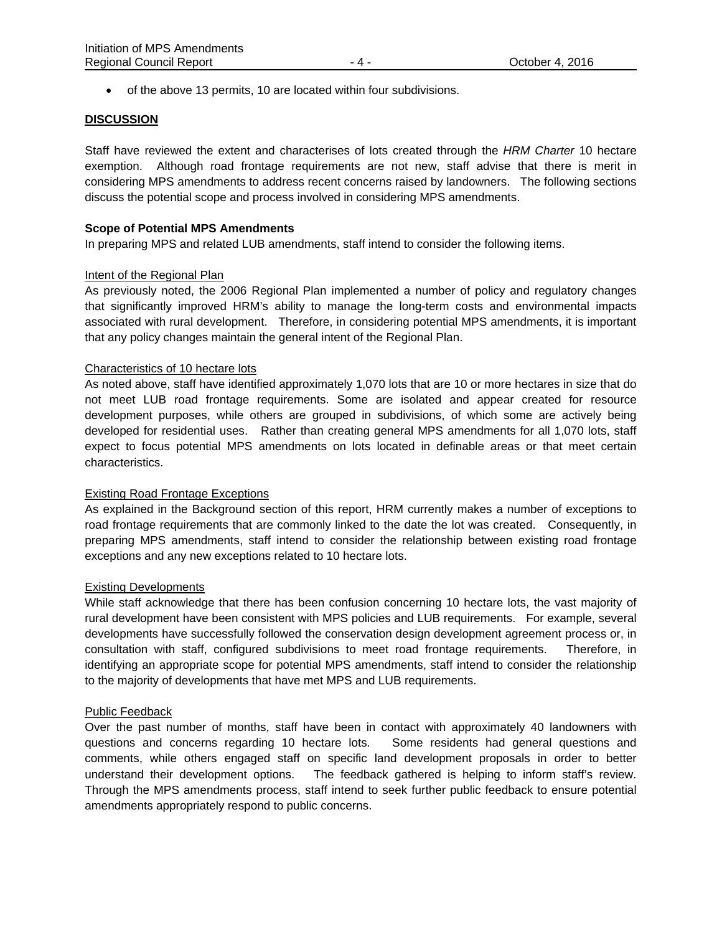of the above 13 permits, 10 are located within four subdivisions.

#### **DISCUSSION**

Staff have reviewed the extent and characterises of lots created through the *HRM Charter* 10 hectare exemption. Although road frontage requirements are not new, staff advise that there is merit in considering MPS amendments to address recent concerns raised by landowners. The following sections discuss the potential scope and process involved in considering MPS amendments.

### **Scope of Potential MPS Amendments**

In preparing MPS and related LUB amendments, staff intend to consider the following items.

### Intent of the Regional Plan

As previously noted, the 2006 Regional Plan implemented a number of policy and regulatory changes that significantly improved HRM's ability to manage the long-term costs and environmental impacts associated with rural development. Therefore, in considering potential MPS amendments, it is important that any policy changes maintain the general intent of the Regional Plan.

### Characteristics of 10 hectare lots

As noted above, staff have identified approximately 1,070 lots that are 10 or more hectares in size that do not meet LUB road frontage requirements. Some are isolated and appear created for resource development purposes, while others are grouped in subdivisions, of which some are actively being developed for residential uses. Rather than creating general MPS amendments for all 1,070 lots, staff expect to focus potential MPS amendments on lots located in definable areas or that meet certain characteristics.

## Existing Road Frontage Exceptions

As explained in the Background section of this report, HRM currently makes a number of exceptions to road frontage requirements that are commonly linked to the date the lot was created. Consequently, in preparing MPS amendments, staff intend to consider the relationship between existing road frontage exceptions and any new exceptions related to 10 hectare lots.

#### Existing Developments

While staff acknowledge that there has been confusion concerning 10 hectare lots, the vast majority of rural development have been consistent with MPS policies and LUB requirements. For example, several developments have successfully followed the conservation design development agreement process or, in consultation with staff, configured subdivisions to meet road frontage requirements. Therefore, in identifying an appropriate scope for potential MPS amendments, staff intend to consider the relationship to the majority of developments that have met MPS and LUB requirements.

#### Public Feedback

Over the past number of months, staff have been in contact with approximately 40 landowners with questions and concerns regarding 10 hectare lots. Some residents had general questions and comments, while others engaged staff on specific land development proposals in order to better understand their development options. The feedback gathered is helping to inform staff's review. Through the MPS amendments process, staff intend to seek further public feedback to ensure potential amendments appropriately respond to public concerns.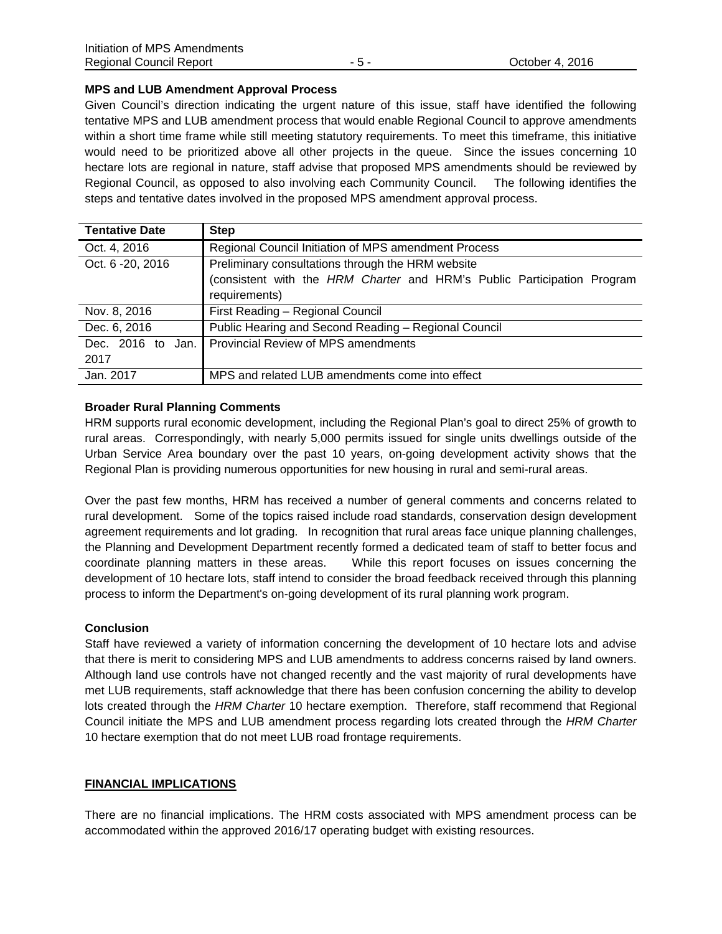### **MPS and LUB Amendment Approval Process**

Given Council's direction indicating the urgent nature of this issue, staff have identified the following tentative MPS and LUB amendment process that would enable Regional Council to approve amendments within a short time frame while still meeting statutory requirements. To meet this timeframe, this initiative would need to be prioritized above all other projects in the queue. Since the issues concerning 10 hectare lots are regional in nature, staff advise that proposed MPS amendments should be reviewed by Regional Council, as opposed to also involving each Community Council. The following identifies the steps and tentative dates involved in the proposed MPS amendment approval process.

| <b>Tentative Date</b> | <b>Step</b>                                                             |
|-----------------------|-------------------------------------------------------------------------|
| Oct. 4, 2016          | Regional Council Initiation of MPS amendment Process                    |
| Oct. 6 - 20, 2016     | Preliminary consultations through the HRM website                       |
|                       | (consistent with the HRM Charter and HRM's Public Participation Program |
|                       | requirements)                                                           |
| Nov. 8, 2016          | First Reading - Regional Council                                        |
| Dec. 6, 2016          | Public Hearing and Second Reading - Regional Council                    |
| Dec. 2016 to Jan.     | <b>Provincial Review of MPS amendments</b>                              |
| 2017                  |                                                                         |
| Jan. 2017             | MPS and related LUB amendments come into effect                         |

## **Broader Rural Planning Comments**

HRM supports rural economic development, including the Regional Plan's goal to direct 25% of growth to rural areas. Correspondingly, with nearly 5,000 permits issued for single units dwellings outside of the Urban Service Area boundary over the past 10 years, on-going development activity shows that the Regional Plan is providing numerous opportunities for new housing in rural and semi-rural areas.

Over the past few months, HRM has received a number of general comments and concerns related to rural development. Some of the topics raised include road standards, conservation design development agreement requirements and lot grading. In recognition that rural areas face unique planning challenges, the Planning and Development Department recently formed a dedicated team of staff to better focus and coordinate planning matters in these areas. While this report focuses on issues concerning the development of 10 hectare lots, staff intend to consider the broad feedback received through this planning process to inform the Department's on-going development of its rural planning work program.

## **Conclusion**

Staff have reviewed a variety of information concerning the development of 10 hectare lots and advise that there is merit to considering MPS and LUB amendments to address concerns raised by land owners. Although land use controls have not changed recently and the vast majority of rural developments have met LUB requirements, staff acknowledge that there has been confusion concerning the ability to develop lots created through the *HRM Charter* 10 hectare exemption. Therefore, staff recommend that Regional Council initiate the MPS and LUB amendment process regarding lots created through the *HRM Charter* 10 hectare exemption that do not meet LUB road frontage requirements.

## **FINANCIAL IMPLICATIONS**

There are no financial implications. The HRM costs associated with MPS amendment process can be accommodated within the approved 2016/17 operating budget with existing resources.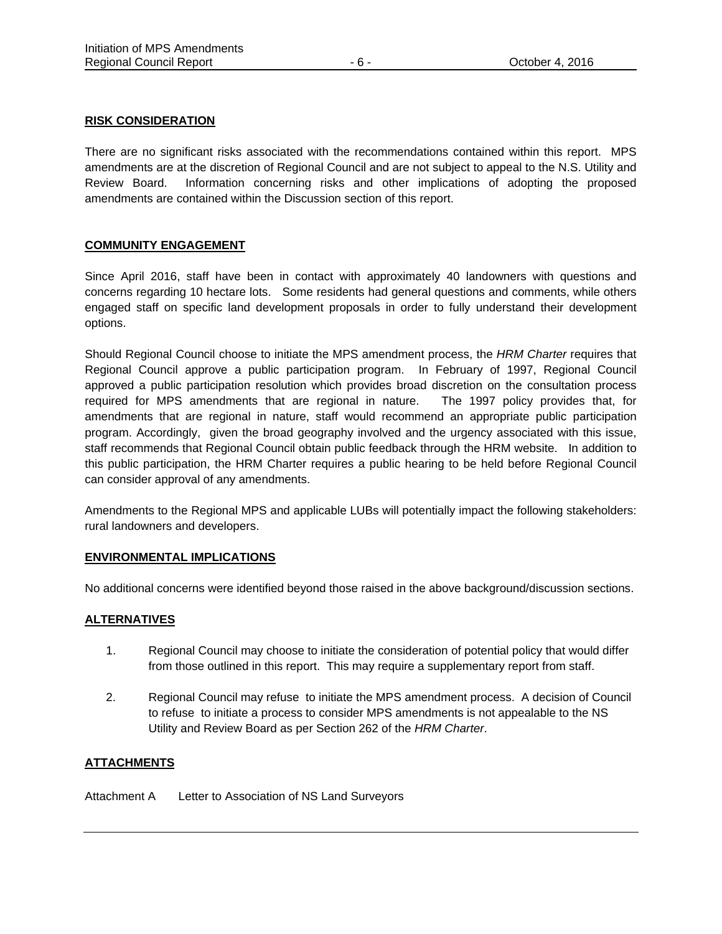### **RISK CONSIDERATION**

There are no significant risks associated with the recommendations contained within this report. MPS amendments are at the discretion of Regional Council and are not subject to appeal to the N.S. Utility and Review Board. Information concerning risks and other implications of adopting the proposed amendments are contained within the Discussion section of this report.

### **COMMUNITY ENGAGEMENT**

Since April 2016, staff have been in contact with approximately 40 landowners with questions and concerns regarding 10 hectare lots. Some residents had general questions and comments, while others engaged staff on specific land development proposals in order to fully understand their development options.

Should Regional Council choose to initiate the MPS amendment process, the *HRM Charter* requires that Regional Council approve a public participation program. In February of 1997, Regional Council approved a public participation resolution which provides broad discretion on the consultation process required for MPS amendments that are regional in nature. The 1997 policy provides that, for amendments that are regional in nature, staff would recommend an appropriate public participation program. Accordingly, given the broad geography involved and the urgency associated with this issue, staff recommends that Regional Council obtain public feedback through the HRM website. In addition to this public participation, the HRM Charter requires a public hearing to be held before Regional Council can consider approval of any amendments.

Amendments to the Regional MPS and applicable LUBs will potentially impact the following stakeholders: rural landowners and developers.

#### **ENVIRONMENTAL IMPLICATIONS**

No additional concerns were identified beyond those raised in the above background/discussion sections.

#### **ALTERNATIVES**

- 1. Regional Council may choose to initiate the consideration of potential policy that would differ from those outlined in this report. This may require a supplementary report from staff.
- 2. Regional Council may refuse to initiate the MPS amendment process. A decision of Council to refuse to initiate a process to consider MPS amendments is not appealable to the NS Utility and Review Board as per Section 262 of the *HRM Charter*.

## **ATTACHMENTS**

Attachment A Letter to Association of NS Land Surveyors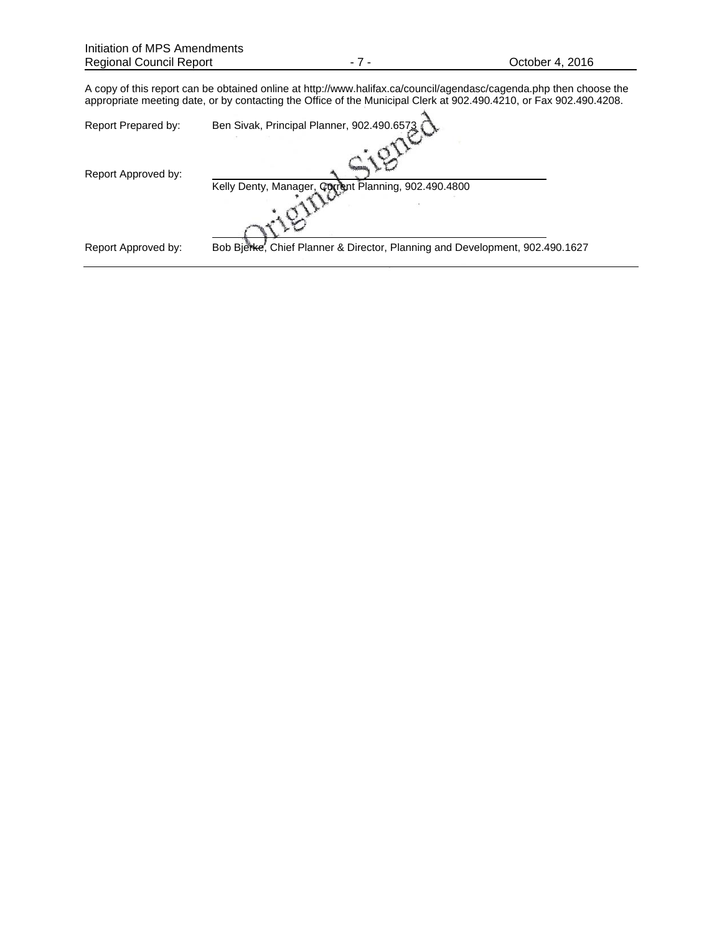A copy of this report can be obtained online at http://www.halifax.ca/council/agendasc/cagenda.php then choose the appropriate meeting date, or by contacting the Office of the Municipal Clerk at 902.490.4210, or Fax 902.490.4208.

| Report Prepared by: | Ben Sivak, Principal Planner, 902.490.6573                                   |
|---------------------|------------------------------------------------------------------------------|
| Report Approved by: | Kelly Denty, Manager, Current Planning, 902.490.4800                         |
|                     |                                                                              |
| Report Approved by: | Bob Bjerke, Chief Planner & Director, Planning and Development, 902.490.1627 |